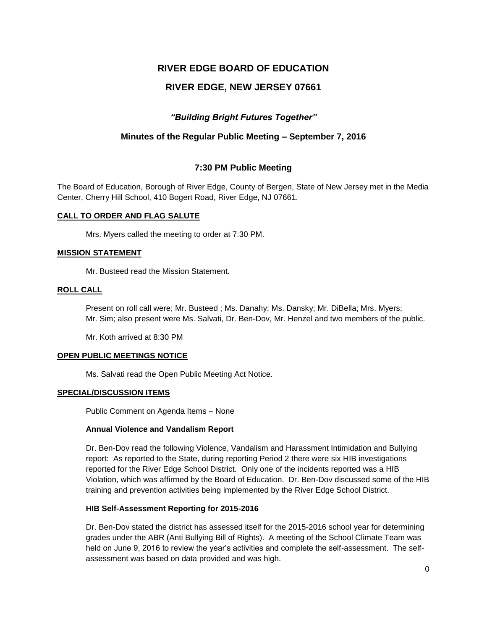# **RIVER EDGE BOARD OF EDUCATION**

# **RIVER EDGE, NEW JERSEY 07661**

## *"Building Bright Futures Together"*

## **Minutes of the Regular Public Meeting – September 7, 2016**

### **7:30 PM Public Meeting**

The Board of Education, Borough of River Edge, County of Bergen, State of New Jersey met in the Media Center, Cherry Hill School, 410 Bogert Road, River Edge, NJ 07661.

### **CALL TO ORDER AND FLAG SALUTE**

Mrs. Myers called the meeting to order at 7:30 PM.

### **MISSION STATEMENT**

Mr. Busteed read the Mission Statement.

#### **ROLL CALL**

Present on roll call were; Mr. Busteed ; Ms. Danahy; Ms. Dansky; Mr. DiBella; Mrs. Myers; Mr. Sim; also present were Ms. Salvati, Dr. Ben-Dov, Mr. Henzel and two members of the public.

Mr. Koth arrived at 8:30 PM

### **OPEN PUBLIC MEETINGS NOTICE**

Ms. Salvati read the Open Public Meeting Act Notice.

### **SPECIAL/DISCUSSION ITEMS**

Public Comment on Agenda Items – None

### **Annual Violence and Vandalism Report**

Dr. Ben-Dov read the following Violence, Vandalism and Harassment Intimidation and Bullying report: As reported to the State, during reporting Period 2 there were six HIB investigations reported for the River Edge School District. Only one of the incidents reported was a HIB Violation, which was affirmed by the Board of Education. Dr. Ben-Dov discussed some of the HIB training and prevention activities being implemented by the River Edge School District.

### **HIB Self-Assessment Reporting for 2015-2016**

Dr. Ben-Dov stated the district has assessed itself for the 2015-2016 school year for determining grades under the ABR (Anti Bullying Bill of Rights). A meeting of the School Climate Team was held on June 9, 2016 to review the year's activities and complete the self-assessment. The selfassessment was based on data provided and was high.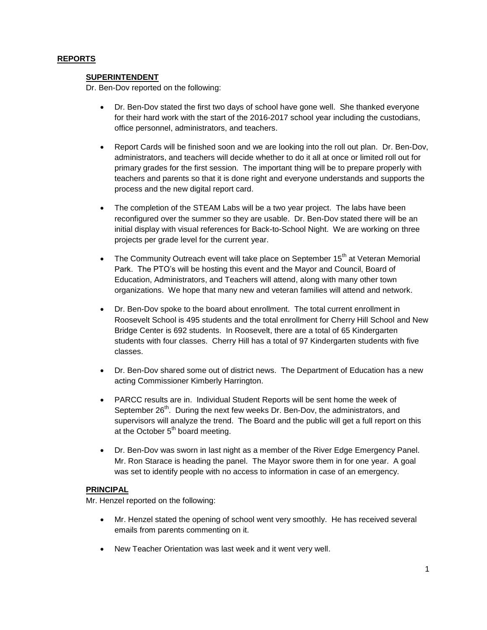### **REPORTS**

### **SUPERINTENDENT**

Dr. Ben-Dov reported on the following:

- Dr. Ben-Dov stated the first two days of school have gone well. She thanked everyone for their hard work with the start of the 2016-2017 school year including the custodians, office personnel, administrators, and teachers.
- Report Cards will be finished soon and we are looking into the roll out plan. Dr. Ben-Dov, administrators, and teachers will decide whether to do it all at once or limited roll out for primary grades for the first session. The important thing will be to prepare properly with teachers and parents so that it is done right and everyone understands and supports the process and the new digital report card.
- The completion of the STEAM Labs will be a two year project. The labs have been reconfigured over the summer so they are usable. Dr. Ben-Dov stated there will be an initial display with visual references for Back-to-School Night. We are working on three projects per grade level for the current year.
- The Community Outreach event will take place on September 15<sup>th</sup> at Veteran Memorial Park. The PTO's will be hosting this event and the Mayor and Council, Board of Education, Administrators, and Teachers will attend, along with many other town organizations. We hope that many new and veteran families will attend and network.
- Dr. Ben-Dov spoke to the board about enrollment. The total current enrollment in Roosevelt School is 495 students and the total enrollment for Cherry Hill School and New Bridge Center is 692 students. In Roosevelt, there are a total of 65 Kindergarten students with four classes. Cherry Hill has a total of 97 Kindergarten students with five classes.
- Dr. Ben-Dov shared some out of district news. The Department of Education has a new acting Commissioner Kimberly Harrington.
- PARCC results are in. Individual Student Reports will be sent home the week of September 26<sup>th</sup>. During the next few weeks Dr. Ben-Dov, the administrators, and supervisors will analyze the trend. The Board and the public will get a full report on this at the October  $5<sup>th</sup>$  board meeting.
- Dr. Ben-Dov was sworn in last night as a member of the River Edge Emergency Panel. Mr. Ron Starace is heading the panel. The Mayor swore them in for one year. A goal was set to identify people with no access to information in case of an emergency.

### **PRINCIPAL**

Mr. Henzel reported on the following:

- Mr. Henzel stated the opening of school went very smoothly. He has received several emails from parents commenting on it.
- New Teacher Orientation was last week and it went very well.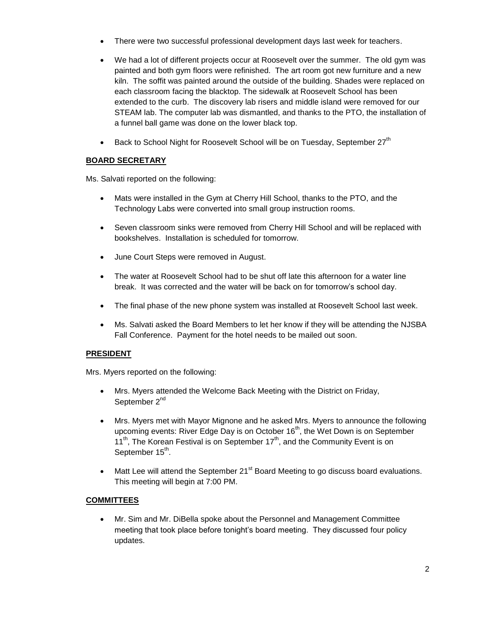- There were two successful professional development days last week for teachers.
- We had a lot of different projects occur at Roosevelt over the summer. The old gym was painted and both gym floors were refinished. The art room got new furniture and a new kiln. The soffit was painted around the outside of the building. Shades were replaced on each classroom facing the blacktop. The sidewalk at Roosevelt School has been extended to the curb. The discovery lab risers and middle island were removed for our STEAM lab. The computer lab was dismantled, and thanks to the PTO, the installation of a funnel ball game was done on the lower black top.
- **•** Back to School Night for Roosevelt School will be on Tuesday, September 27<sup>th</sup>

# **BOARD SECRETARY**

Ms. Salvati reported on the following:

- Mats were installed in the Gym at Cherry Hill School, thanks to the PTO, and the Technology Labs were converted into small group instruction rooms.
- Seven classroom sinks were removed from Cherry Hill School and will be replaced with bookshelves. Installation is scheduled for tomorrow.
- June Court Steps were removed in August.
- The water at Roosevelt School had to be shut off late this afternoon for a water line break. It was corrected and the water will be back on for tomorrow's school day.
- The final phase of the new phone system was installed at Roosevelt School last week.
- Ms. Salvati asked the Board Members to let her know if they will be attending the NJSBA Fall Conference. Payment for the hotel needs to be mailed out soon.

### **PRESIDENT**

Mrs. Myers reported on the following:

- Mrs. Myers attended the Welcome Back Meeting with the District on Friday, September 2<sup>nd</sup>
- Mrs. Myers met with Mayor Mignone and he asked Mrs. Myers to announce the following upcoming events: River Edge Day is on October  $16<sup>th</sup>$ , the Wet Down is on September  $11^{th}$ , The Korean Festival is on September  $17^{th}$ , and the Community Event is on September 15<sup>th</sup>.
- $\bullet$  Matt Lee will attend the September 21<sup>st</sup> Board Meeting to go discuss board evaluations. This meeting will begin at 7:00 PM.

### **COMMITTEES**

 Mr. Sim and Mr. DiBella spoke about the Personnel and Management Committee meeting that took place before tonight's board meeting. They discussed four policy updates.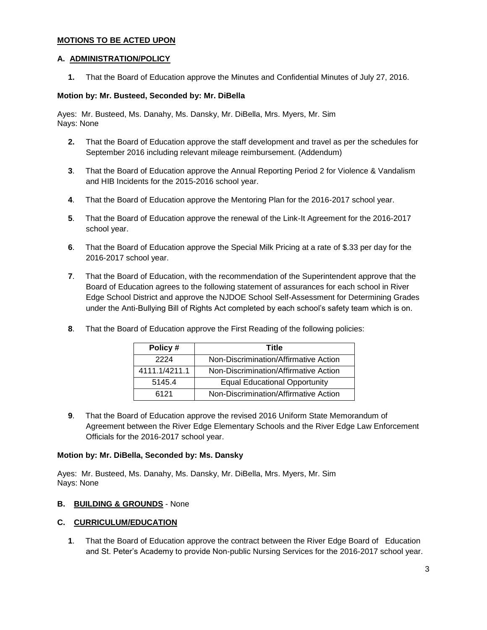### **MOTIONS TO BE ACTED UPON**

### **A. ADMINISTRATION/POLICY**

**1.** That the Board of Education approve the Minutes and Confidential Minutes of July 27, 2016.

### **Motion by: Mr. Busteed, Seconded by: Mr. DiBella**

Ayes: Mr. Busteed, Ms. Danahy, Ms. Dansky, Mr. DiBella, Mrs. Myers, Mr. Sim Nays: None

- **2.** That the Board of Education approve the staff development and travel as per the schedules for September 2016 including relevant mileage reimbursement. (Addendum)
- **3**. That the Board of Education approve the Annual Reporting Period 2 for Violence & Vandalism and HIB Incidents for the 2015-2016 school year.
- **4**. That the Board of Education approve the Mentoring Plan for the 2016-2017 school year.
- **5**. That the Board of Education approve the renewal of the Link-It Agreement for the 2016-2017 school year.
- **6**. That the Board of Education approve the Special Milk Pricing at a rate of \$.33 per day for the 2016-2017 school year.
- **7**. That the Board of Education, with the recommendation of the Superintendent approve that the Board of Education agrees to the following statement of assurances for each school in River Edge School District and approve the NJDOE School Self-Assessment for Determining Grades under the Anti-Bullying Bill of Rights Act completed by each school's safety team which is on.
- **8**. That the Board of Education approve the First Reading of the following policies:

| Policy#       | Title                                 |
|---------------|---------------------------------------|
| 2224          | Non-Discrimination/Affirmative Action |
| 4111.1/4211.1 | Non-Discrimination/Affirmative Action |
| 5145.4        | <b>Equal Educational Opportunity</b>  |
| 6121          | Non-Discrimination/Affirmative Action |

**9**. That the Board of Education approve the revised 2016 Uniform State Memorandum of Agreement between the River Edge Elementary Schools and the River Edge Law Enforcement Officials for the 2016-2017 school year.

### **Motion by: Mr. DiBella, Seconded by: Ms. Dansky**

Ayes: Mr. Busteed, Ms. Danahy, Ms. Dansky, Mr. DiBella, Mrs. Myers, Mr. Sim Nays: None

### **B. BUILDING & GROUNDS** - None

### **C. CURRICULUM/EDUCATION**

**1**. That the Board of Education approve the contract between the River Edge Board of Education and St. Peter's Academy to provide Non-public Nursing Services for the 2016-2017 school year.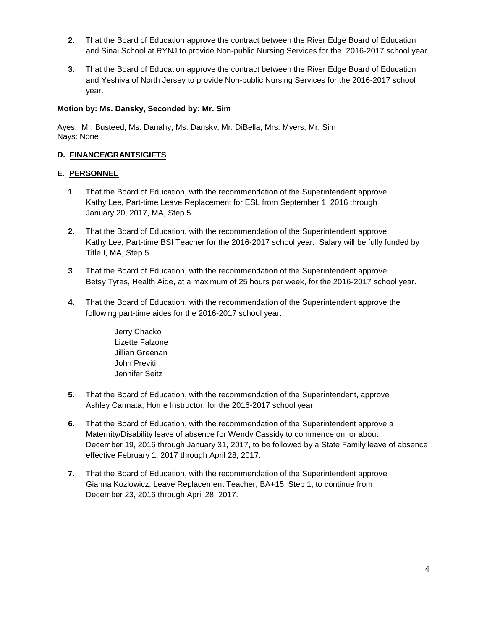- **2**. That the Board of Education approve the contract between the River Edge Board of Education and Sinai School at RYNJ to provide Non-public Nursing Services for the 2016-2017 school year.
- **3**. That the Board of Education approve the contract between the River Edge Board of Education and Yeshiva of North Jersey to provide Non-public Nursing Services for the 2016-2017 school year.

### **Motion by: Ms. Dansky, Seconded by: Mr. Sim**

Ayes: Mr. Busteed, Ms. Danahy, Ms. Dansky, Mr. DiBella, Mrs. Myers, Mr. Sim Nays: None

### **D. FINANCE/GRANTS/GIFTS**

### **E. PERSONNEL**

- **1**. That the Board of Education, with the recommendation of the Superintendent approve Kathy Lee, Part-time Leave Replacement for ESL from September 1, 2016 through January 20, 2017, MA, Step 5.
- **2**. That the Board of Education, with the recommendation of the Superintendent approve Kathy Lee, Part-time BSI Teacher for the 2016-2017 school year. Salary will be fully funded by Title I, MA, Step 5.
- **3**. That the Board of Education, with the recommendation of the Superintendent approve Betsy Tyras, Health Aide, at a maximum of 25 hours per week, for the 2016-2017 school year.
- **4**. That the Board of Education, with the recommendation of the Superintendent approve the following part-time aides for the 2016-2017 school year:
	- Jerry Chacko Lizette Falzone Jillian Greenan John Previti Jennifer Seitz
- **5**. That the Board of Education, with the recommendation of the Superintendent, approve Ashley Cannata, Home Instructor, for the 2016-2017 school year.
- **6**. That the Board of Education, with the recommendation of the Superintendent approve a Maternity/Disability leave of absence for Wendy Cassidy to commence on, or about December 19, 2016 through January 31, 2017, to be followed by a State Family leave of absence effective February 1, 2017 through April 28, 2017.
- **7**. That the Board of Education, with the recommendation of the Superintendent approve Gianna Kozlowicz, Leave Replacement Teacher, BA+15, Step 1, to continue from December 23, 2016 through April 28, 2017.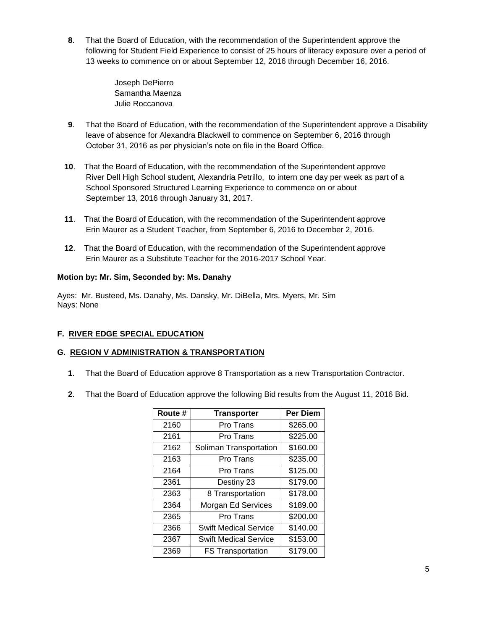**8**. That the Board of Education, with the recommendation of the Superintendent approve the following for Student Field Experience to consist of 25 hours of literacy exposure over a period of 13 weeks to commence on or about September 12, 2016 through December 16, 2016.

> Joseph DePierro Samantha Maenza Julie Roccanova

- **9**. That the Board of Education, with the recommendation of the Superintendent approve a Disability leave of absence for Alexandra Blackwell to commence on September 6, 2016 through October 31, 2016 as per physician's note on file in the Board Office.
- **10**. That the Board of Education, with the recommendation of the Superintendent approve River Dell High School student, Alexandria Petrillo, to intern one day per week as part of a School Sponsored Structured Learning Experience to commence on or about September 13, 2016 through January 31, 2017.
- **11**. That the Board of Education, with the recommendation of the Superintendent approve Erin Maurer as a Student Teacher, from September 6, 2016 to December 2, 2016.
- **12**. That the Board of Education, with the recommendation of the Superintendent approve Erin Maurer as a Substitute Teacher for the 2016-2017 School Year.

### **Motion by: Mr. Sim, Seconded by: Ms. Danahy**

Ayes: Mr. Busteed, Ms. Danahy, Ms. Dansky, Mr. DiBella, Mrs. Myers, Mr. Sim Nays: None

### **F. RIVER EDGE SPECIAL EDUCATION**

### **G. REGION V ADMINISTRATION & TRANSPORTATION**

- **1**. That the Board of Education approve 8 Transportation as a new Transportation Contractor.
- **2**. That the Board of Education approve the following Bid results from the August 11, 2016 Bid.

| Route # | <b>Transporter</b>           | <b>Per Diem</b> |
|---------|------------------------------|-----------------|
| 2160    | Pro Trans                    | \$265.00        |
| 2161    | Pro Trans                    | \$225.00        |
| 2162    | Soliman Transportation       | \$160.00        |
| 2163    | Pro Trans                    | \$235.00        |
| 2164    | Pro Trans                    | \$125.00        |
| 2361    | Destiny 23                   | \$179.00        |
| 2363    | 8 Transportation             | \$178.00        |
| 2364    | Morgan Ed Services           | \$189.00        |
| 2365    | Pro Trans                    | \$200.00        |
| 2366    | <b>Swift Medical Service</b> | \$140.00        |
| 2367    | <b>Swift Medical Service</b> | \$153.00        |
| 2369    | <b>FS Transportation</b>     | \$179.00        |